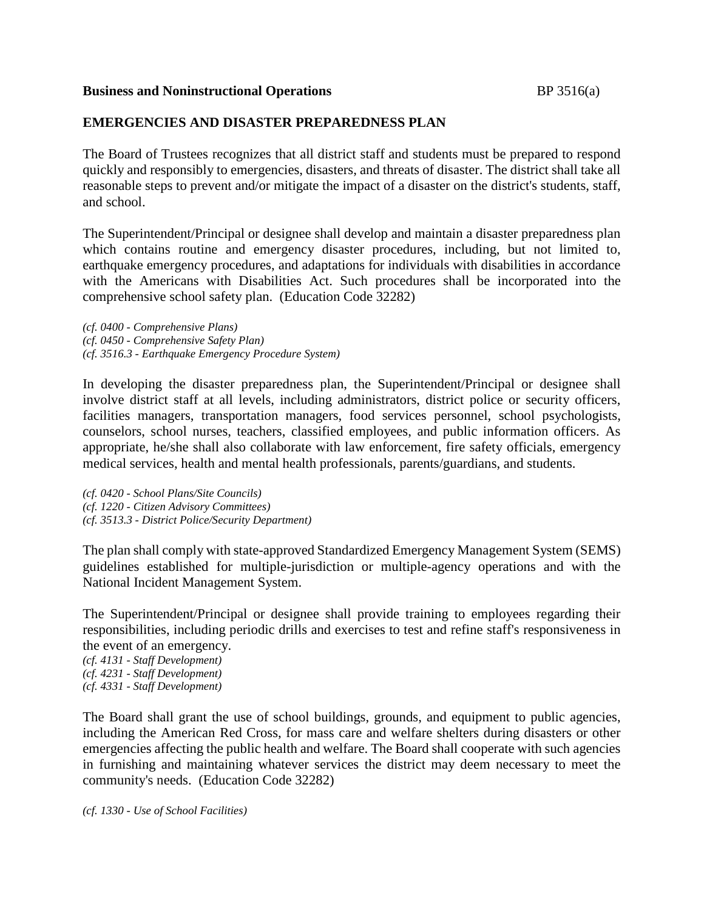### **Business and Noninstructional Operations BP** 3516(a)

## **EMERGENCIES AND DISASTER PREPAREDNESS PLAN**

The Board of Trustees recognizes that all district staff and students must be prepared to respond quickly and responsibly to emergencies, disasters, and threats of disaster. The district shall take all reasonable steps to prevent and/or mitigate the impact of a disaster on the district's students, staff, and school.

The Superintendent/Principal or designee shall develop and maintain a disaster preparedness plan which contains routine and emergency disaster procedures, including, but not limited to, earthquake emergency procedures, and adaptations for individuals with disabilities in accordance with the Americans with Disabilities Act. Such procedures shall be incorporated into the comprehensive school safety plan. (Education Code 32282)

*(cf. 0400 - Comprehensive Plans) (cf. 0450 - Comprehensive Safety Plan) (cf. 3516.3 - Earthquake Emergency Procedure System)*

In developing the disaster preparedness plan, the Superintendent/Principal or designee shall involve district staff at all levels, including administrators, district police or security officers, facilities managers, transportation managers, food services personnel, school psychologists, counselors, school nurses, teachers, classified employees, and public information officers. As appropriate, he/she shall also collaborate with law enforcement, fire safety officials, emergency medical services, health and mental health professionals, parents/guardians, and students.

*(cf. 0420 - School Plans/Site Councils) (cf. 1220 - Citizen Advisory Committees) (cf. 3513.3 - District Police/Security Department)*

The plan shall comply with state-approved Standardized Emergency Management System (SEMS) guidelines established for multiple-jurisdiction or multiple-agency operations and with the National Incident Management System.

The Superintendent/Principal or designee shall provide training to employees regarding their responsibilities, including periodic drills and exercises to test and refine staff's responsiveness in the event of an emergency.

*(cf. 4131 - Staff Development) (cf. 4231 - Staff Development) (cf. 4331 - Staff Development)*

The Board shall grant the use of school buildings, grounds, and equipment to public agencies, including the American Red Cross, for mass care and welfare shelters during disasters or other emergencies affecting the public health and welfare. The Board shall cooperate with such agencies in furnishing and maintaining whatever services the district may deem necessary to meet the community's needs. (Education Code 32282)

*(cf. 1330 - Use of School Facilities)*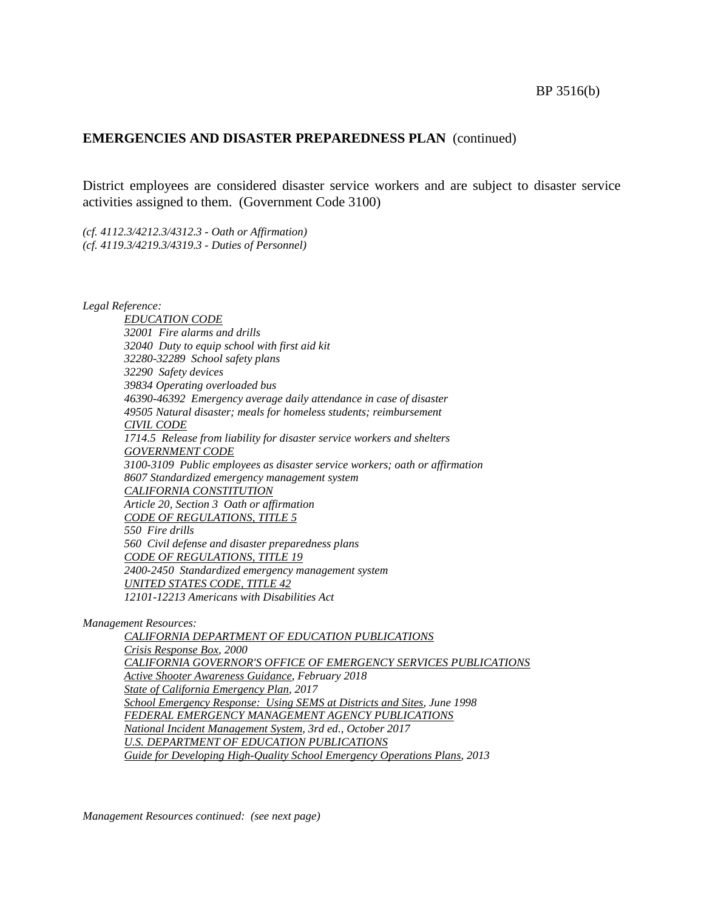#### BP 3516(b)

### **EMERGENCIES AND DISASTER PREPAREDNESS PLAN** (continued)

District employees are considered disaster service workers and are subject to disaster service activities assigned to them. (Government Code 3100)

*(cf. 4112.3/4212.3/4312.3 - Oath or Affirmation) (cf. 4119.3/4219.3/4319.3 - Duties of Personnel)*

*Legal Reference:*

*EDUCATION CODE 32001 Fire alarms and drills 32040 Duty to equip school with first aid kit 32280-32289 School safety plans 32290 Safety devices 39834 Operating overloaded bus 46390-46392 Emergency average daily attendance in case of disaster 49505 Natural disaster; meals for homeless students; reimbursement CIVIL CODE 1714.5 Release from liability for disaster service workers and shelters GOVERNMENT CODE 3100-3109 Public employees as disaster service workers; oath or affirmation 8607 Standardized emergency management system CALIFORNIA CONSTITUTION Article 20, Section 3 Oath or affirmation CODE OF REGULATIONS, TITLE 5 550 Fire drills 560 Civil defense and disaster preparedness plans CODE OF REGULATIONS, TITLE 19 2400-2450 Standardized emergency management system UNITED STATES CODE, TITLE 42 12101-12213 Americans with Disabilities Act*

*Management Resources:*

*CALIFORNIA DEPARTMENT OF EDUCATION PUBLICATIONS Crisis Response Box, 2000 CALIFORNIA GOVERNOR'S OFFICE OF EMERGENCY SERVICES PUBLICATIONS Active Shooter Awareness Guidance, February 2018 State of California Emergency Plan, 2017 School Emergency Response: Using SEMS at Districts and Sites, June 1998 FEDERAL EMERGENCY MANAGEMENT AGENCY PUBLICATIONS National Incident Management System, 3rd ed., October 2017 U.S. DEPARTMENT OF EDUCATION PUBLICATIONS Guide for Developing High-Quality School Emergency Operations Plans, 2013*

*Management Resources continued: (see next page)*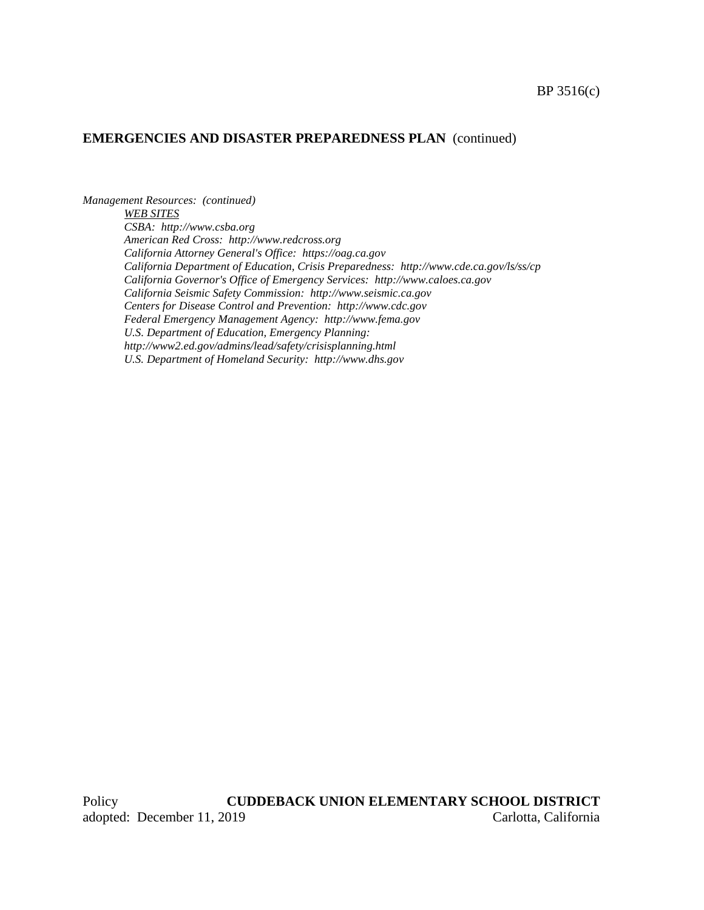#### **EMERGENCIES AND DISASTER PREPAREDNESS PLAN** (continued)

*Management Resources: (continued) WEB SITES CSBA: http://www.csba.org American Red Cross: http://www.redcross.org California Attorney General's Office: https://oag.ca.gov California Department of Education, Crisis Preparedness: http://www.cde.ca.gov/ls/ss/cp California Governor's Office of Emergency Services: http://www.caloes.ca.gov California Seismic Safety Commission: http://www.seismic.ca.gov Centers for Disease Control and Prevention: http://www.cdc.gov Federal Emergency Management Agency: http://www.fema.gov U.S. Department of Education, Emergency Planning: http://www2.ed.gov/admins/lead/safety/crisisplanning.html U.S. Department of Homeland Security: http://www.dhs.gov*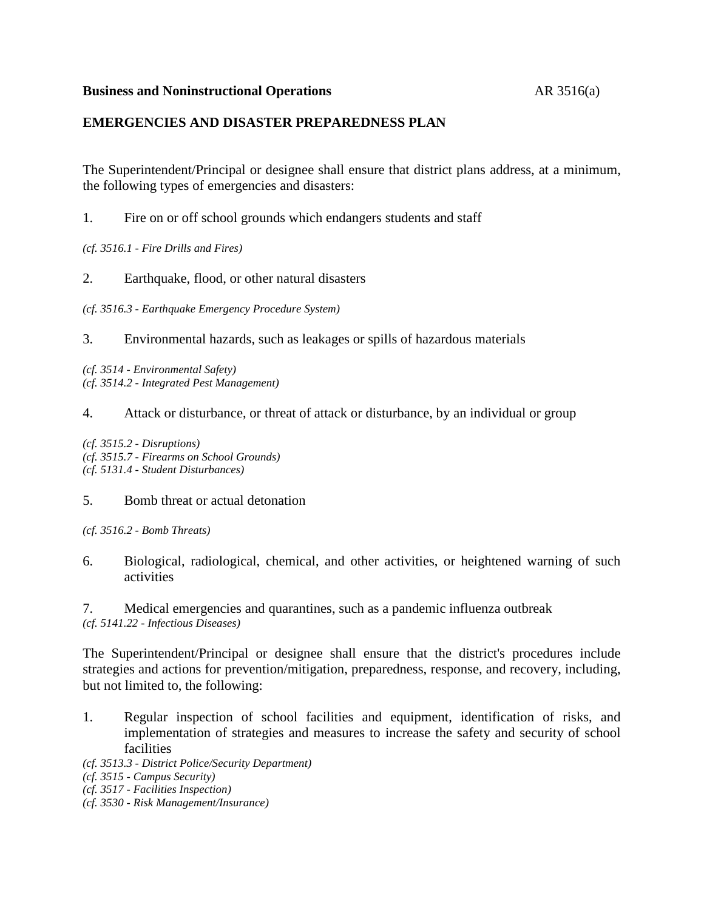### **Business and Noninstructional Operations AR 3516(a)**

## **EMERGENCIES AND DISASTER PREPAREDNESS PLAN**

The Superintendent/Principal or designee shall ensure that district plans address, at a minimum, the following types of emergencies and disasters:

1. Fire on or off school grounds which endangers students and staff

*(cf. 3516.1 - Fire Drills and Fires)*

2. Earthquake, flood, or other natural disasters

*(cf. 3516.3 - Earthquake Emergency Procedure System)*

3. Environmental hazards, such as leakages or spills of hazardous materials

*(cf. 3514 - Environmental Safety) (cf. 3514.2 - Integrated Pest Management)*

4. Attack or disturbance, or threat of attack or disturbance, by an individual or group

*(cf. 3515.2 - Disruptions) (cf. 3515.7 - Firearms on School Grounds) (cf. 5131.4 - Student Disturbances)*

#### 5. Bomb threat or actual detonation

*(cf. 3516.2 - Bomb Threats)*

6. Biological, radiological, chemical, and other activities, or heightened warning of such activities

7. Medical emergencies and quarantines, such as a pandemic influenza outbreak *(cf. 5141.22 - Infectious Diseases)*

The Superintendent/Principal or designee shall ensure that the district's procedures include strategies and actions for prevention/mitigation, preparedness, response, and recovery, including, but not limited to, the following:

1. Regular inspection of school facilities and equipment, identification of risks, and implementation of strategies and measures to increase the safety and security of school facilities

*(cf. 3513.3 - District Police/Security Department)*

*(cf. 3515 - Campus Security)*

*(cf. 3517 - Facilities Inspection)*

*(cf. 3530 - Risk Management/Insurance)*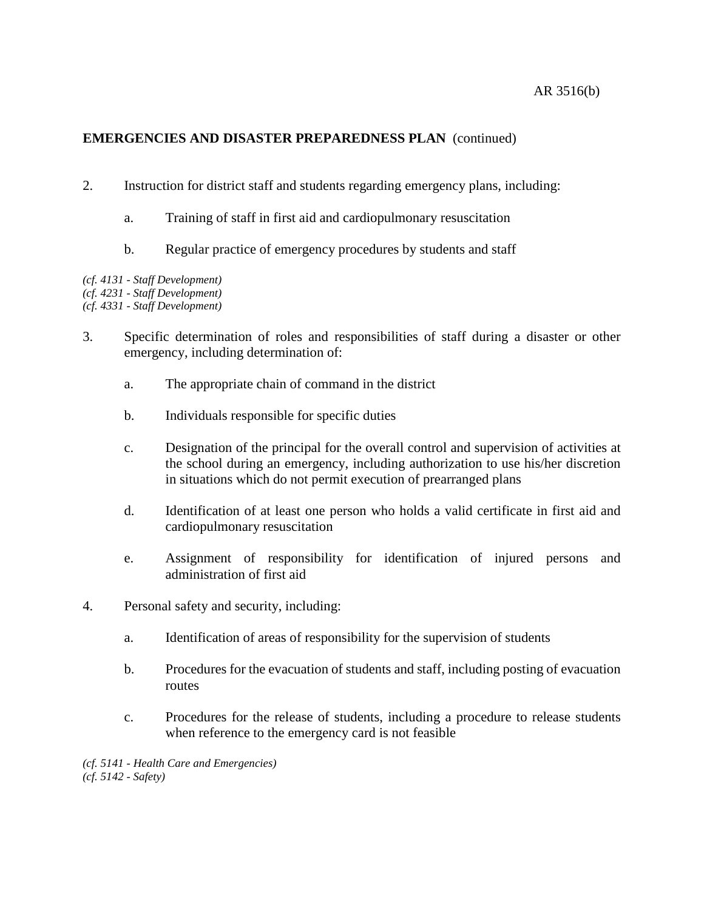# **EMERGENCIES AND DISASTER PREPAREDNESS PLAN** (continued)

- 2. Instruction for district staff and students regarding emergency plans, including:
	- a. Training of staff in first aid and cardiopulmonary resuscitation
	- b. Regular practice of emergency procedures by students and staff

*(cf. 4131 - Staff Development) (cf. 4231 - Staff Development)*

*(cf. 4331 - Staff Development)*

- 3. Specific determination of roles and responsibilities of staff during a disaster or other emergency, including determination of:
	- a. The appropriate chain of command in the district
	- b. Individuals responsible for specific duties
	- c. Designation of the principal for the overall control and supervision of activities at the school during an emergency, including authorization to use his/her discretion in situations which do not permit execution of prearranged plans
	- d. Identification of at least one person who holds a valid certificate in first aid and cardiopulmonary resuscitation
	- e. Assignment of responsibility for identification of injured persons and administration of first aid
- 4. Personal safety and security, including:
	- a. Identification of areas of responsibility for the supervision of students
	- b. Procedures for the evacuation of students and staff, including posting of evacuation routes
	- c. Procedures for the release of students, including a procedure to release students when reference to the emergency card is not feasible

*(cf. 5141 - Health Care and Emergencies) (cf. 5142 - Safety)*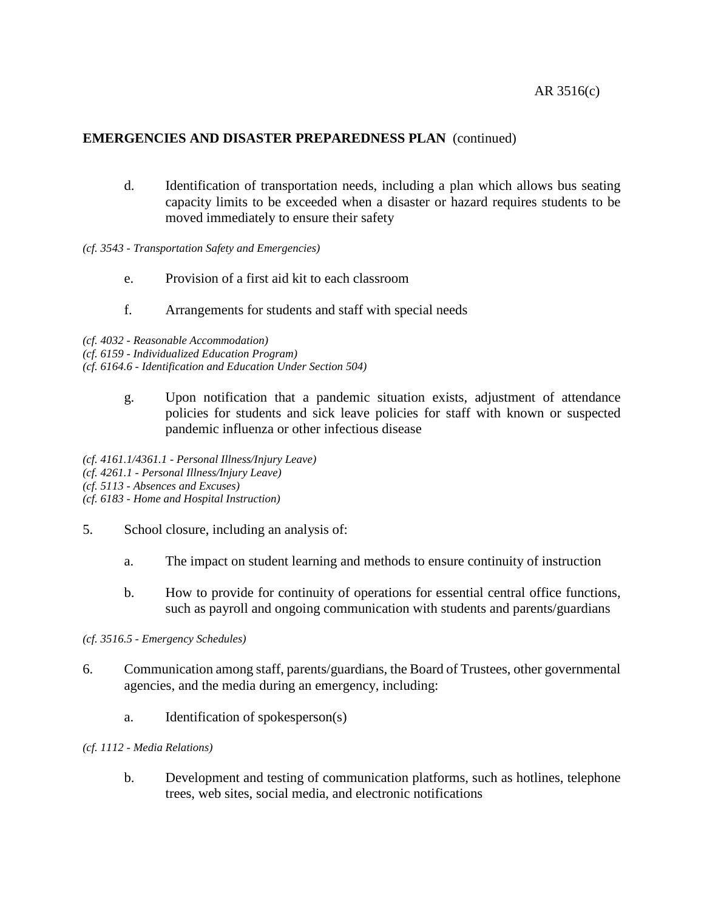## **EMERGENCIES AND DISASTER PREPAREDNESS PLAN** (continued)

- d. Identification of transportation needs, including a plan which allows bus seating capacity limits to be exceeded when a disaster or hazard requires students to be moved immediately to ensure their safety
- *(cf. 3543 - Transportation Safety and Emergencies)*
	- e. Provision of a first aid kit to each classroom
	- f. Arrangements for students and staff with special needs

*(cf. 4032 - Reasonable Accommodation)*

*(cf. 6159 - Individualized Education Program)*

*(cf. 6164.6 - Identification and Education Under Section 504)*

g. Upon notification that a pandemic situation exists, adjustment of attendance policies for students and sick leave policies for staff with known or suspected pandemic influenza or other infectious disease

*(cf. 4161.1/4361.1 - Personal Illness/Injury Leave) (cf. 4261.1 - Personal Illness/Injury Leave) (cf. 5113 - Absences and Excuses) (cf. 6183 - Home and Hospital Instruction)*

- 5. School closure, including an analysis of:
	- a. The impact on student learning and methods to ensure continuity of instruction
	- b. How to provide for continuity of operations for essential central office functions, such as payroll and ongoing communication with students and parents/guardians

*(cf. 3516.5 - Emergency Schedules)*

- 6. Communication among staff, parents/guardians, the Board of Trustees, other governmental agencies, and the media during an emergency, including:
	- a. Identification of spokesperson(s)
- *(cf. 1112 - Media Relations)*
	- b. Development and testing of communication platforms, such as hotlines, telephone trees, web sites, social media, and electronic notifications